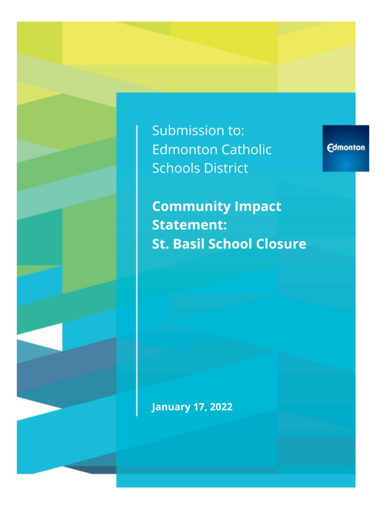Submission to: **Edmonton Catholic Schools District** 

**Edmonton** 

**Community Impact Statement: St. Basil School Closure** 

**January 17, 2022** 

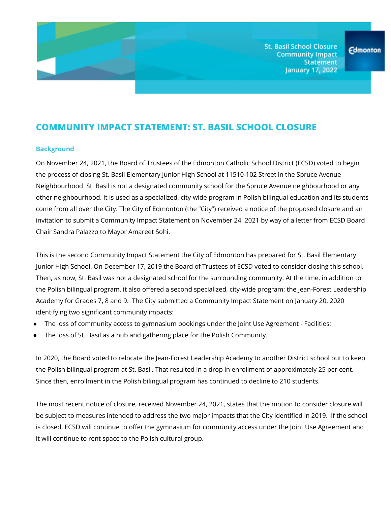**St. Basil School Closure Community Impact Statement January 17, 2022** 

# **COMMUNITY IMPACT STATEMENT: ST. BASIL SCHOOL CLOSURE**

#### **Background**

On November 24, 2021, the Board of Trustees of the Edmonton Catholic School District (ECSD) voted to begin the process of closing St. Basil Elementary Junior High School at 11510-102 Street in the Spruce Avenue Neighbourhood. St. Basil is not a designated community school for the Spruce Avenue neighbourhood or any other neighbourhood. It is used as a specialized, city-wide program in Polish bilingual education and its students come from all over the City. The City of Edmonton (the "City") received a notice of the proposed closure and an invitation to submit a Community Impact Statement on November 24, 2021 by way of a letter from ECSD Board Chair Sandra Palazzo to Mayor Amareet Sohi.

This is the second Community Impact Statement the City of Edmonton has prepared for St. Basil Elementary Junior High School. On December 17, 2019 the Board of Trustees of ECSD voted to consider closing this school. Then, as now, St. Basil was not a designated school for the surrounding community. At the time, in addition to the Polish bilingual program, it also offered a second specialized, city-wide program: the Jean-Forest Leadership Academy for Grades 7, 8 and 9. The City submitted a Community Impact Statement on January 20, 2020 identifying two significant community impacts:

- The loss of community access to gymnasium bookings under the Joint Use Agreement Facilities;
- The loss of St. Basil as a hub and gathering place for the Polish Community.

In 2020, the Board voted to relocate the Jean-Forest Leadership Academy to another District school but to keep the Polish bilingual program at St. Basil. That resulted in a drop in enrollment of approximately 25 per cent. Since then, enrollment in the Polish bilingual program has continued to decline to 210 students.

The most recent notice of closure, received November 24, 2021, states that the motion to consider closure will be subject to measures intended to address the two major impacts that the City identified in 2019. If the school is closed, ECSD will continue to offer the gymnasium for community access under the Joint Use Agreement and it will continue to rent space to the Polish cultural group.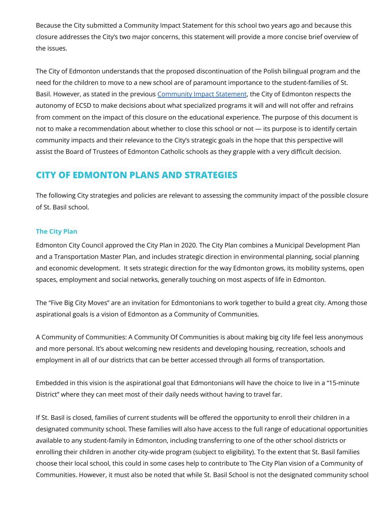Because the City submitted a Community Impact Statement for this school two years ago and because this closure addresses the City's two major concerns, this statement will provide a more concise brief overview of the issues.

The City of Edmonton understands that the proposed discontinuation of the Polish bilingual program and the need for the children to move to a new school are of paramount importance to the student-families of St. Basil. However, as stated in the previous [Community](https://drive.google.com/file/d/10gNw1MNpAYoMLUsqpwHarUX8f6iT4_XL/view?usp=sharing) Impact Statement, the City of Edmonton respects the autonomy of ECSD to make decisions about what specialized programs it will and will not offer and refrains from comment on the impact of this closure on the educational experience. The purpose of this document is not to make a recommendation about whether to close this school or not — its purpose is to identify certain community impacts and their relevance to the City's strategic goals in the hope that this perspective will assist the Board of Trustees of Edmonton Catholic schools as they grapple with a very difficult decision.

## **CITY OF EDMONTON PLANS AND STRATEGIES**

The following City strategies and policies are relevant to assessing the community impact of the possible closure of St. Basil school.

#### **The City Plan**

Edmonton City Council approved the City Plan in 2020. The City Plan combines a Municipal Development Plan and a Transportation Master Plan, and includes strategic direction in environmental planning, social planning and economic development. It sets strategic direction for the way Edmonton grows, its mobility systems, open spaces, employment and social networks, generally touching on most aspects of life in Edmonton.

The "Five Big City Moves" are an invitation for Edmontonians to work together to build a great city. Among those aspirational goals is a vision of Edmonton as a Community of Communities.

A Community of Communities: A Community Of Communities is about making big city life feel less anonymous and more personal. It's about welcoming new residents and developing housing, recreation, schools and employment in all of our districts that can be better accessed through all forms of transportation.

Embedded in this vision is the aspirational goal that Edmontonians will have the choice to live in a "15-minute District" where they can meet most of their daily needs without having to travel far.

If St. Basil is closed, families of current students will be offered the opportunity to enroll their children in a designated community school. These families will also have access to the full range of educational opportunities available to any student-family in Edmonton, including transferring to one of the other school districts or enrolling their children in another city-wide program (subject to eligibility). To the extent that St. Basil families choose their local school, this could in some cases help to contribute to The City Plan vision of a Community of Communities. However, it must also be noted that while St. Basil School is not the designated community school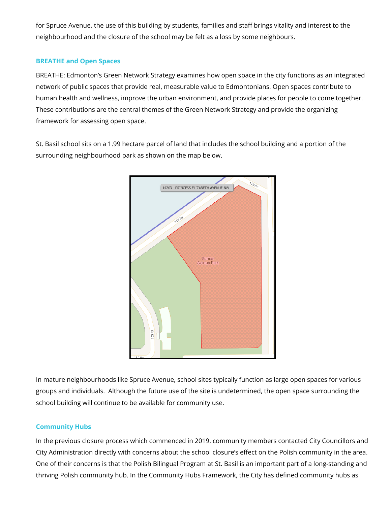for Spruce Avenue, the use of this building by students, families and staff brings vitality and interest to the neighbourhood and the closure of the school may be felt as a loss by some neighbours.

#### **BREATHE and Open Spaces**

BREATHE: Edmonton's Green Network Strategy examines how open space in the city functions as an integrated network of public spaces that provide real, measurable value to Edmontonians. Open spaces contribute to human health and wellness, improve the urban environment, and provide places for people to come together. These contributions are the central themes of the Green Network Strategy and provide the organizing framework for assessing open space.

St. Basil school sits on a 1.99 hectare parcel of land that includes the school building and a portion of the surrounding neighbourhood park as shown on the map below.



In mature neighbourhoods like Spruce Avenue, school sites typically function as large open spaces for various groups and individuals. Although the future use of the site is undetermined, the open space surrounding the school building will continue to be available for community use.

### **Community Hubs**

In the previous closure process which commenced in 2019, community members contacted City Councillors and City Administration directly with concerns about the school closure's effect on the Polish community in the area. One of their concerns is that the Polish Bilingual Program at St. Basil is an important part of a long-standing and thriving Polish community hub. In the Community Hubs Framework, the City has defined community hubs as